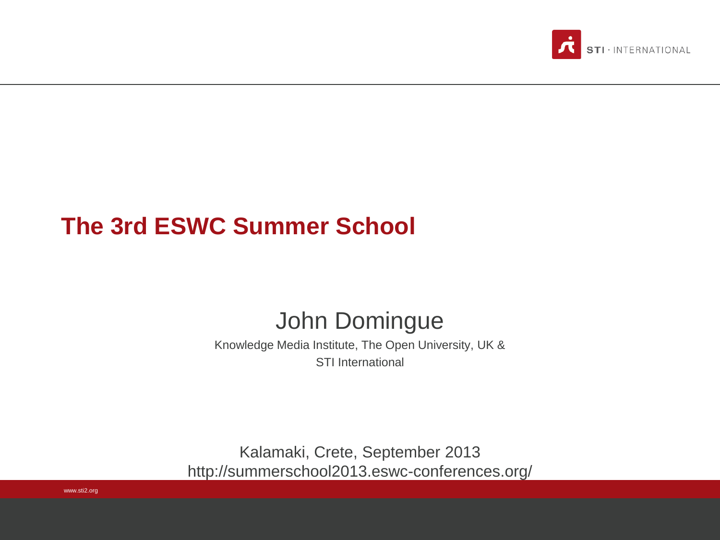

#### **The 3rd ESWC Summer School**

#### John Domingue

Knowledge Media Institute, The Open University, UK & STI International

Kalamaki, Crete, September 2013 http://summerschool2013.eswc-conferences.org/

www.sti2.org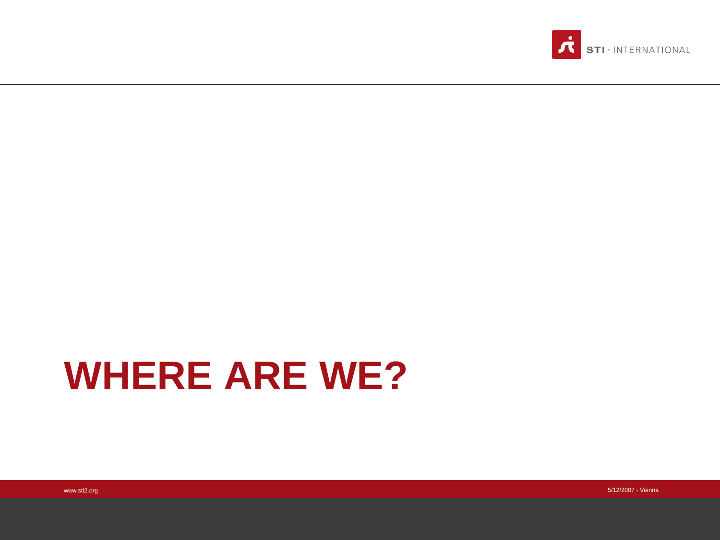

## **WHERE ARE WE?**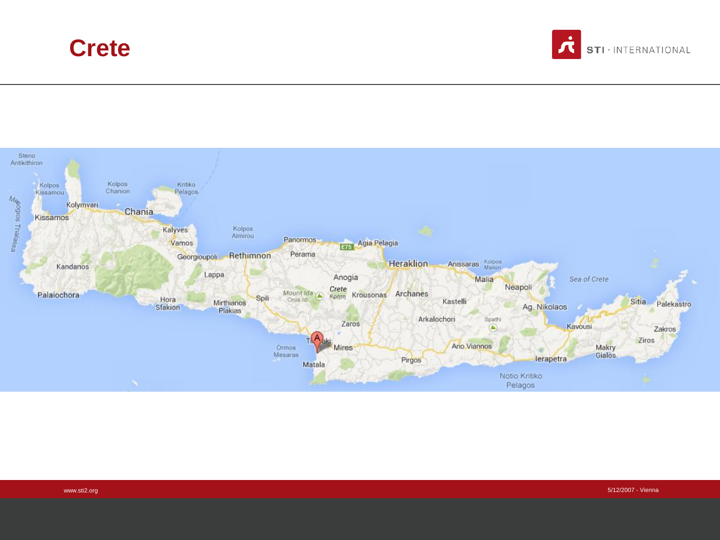#### **Crete**



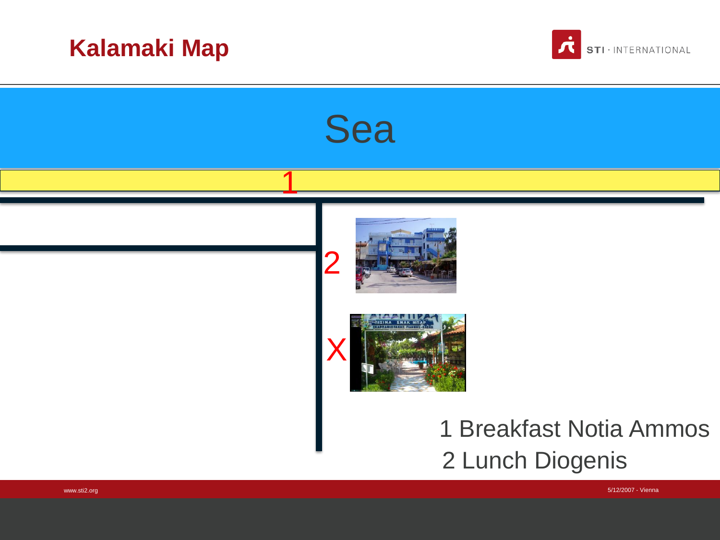



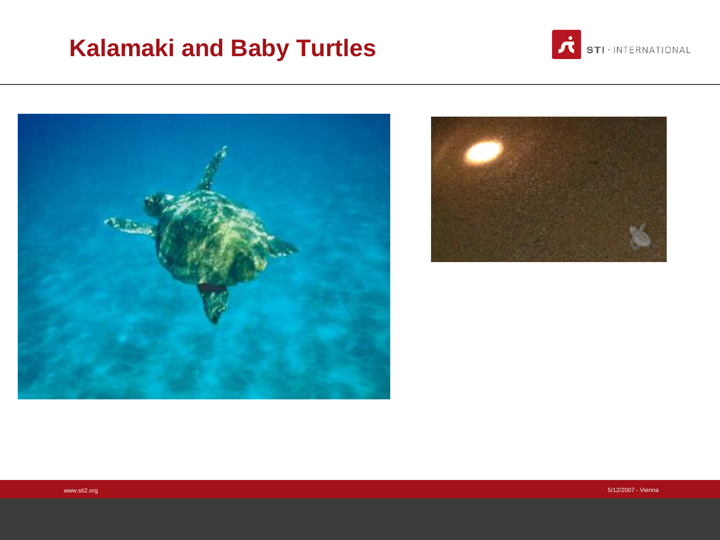#### **Kalamaki and Baby Turtles**



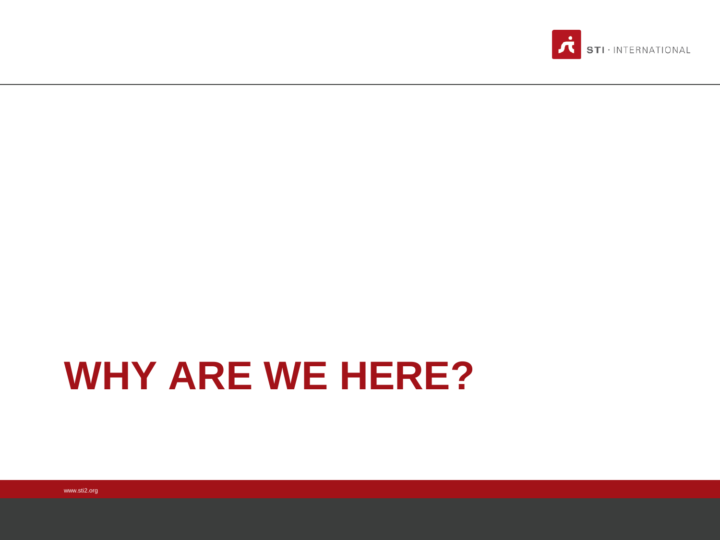

### **WHY ARE WE HERE?**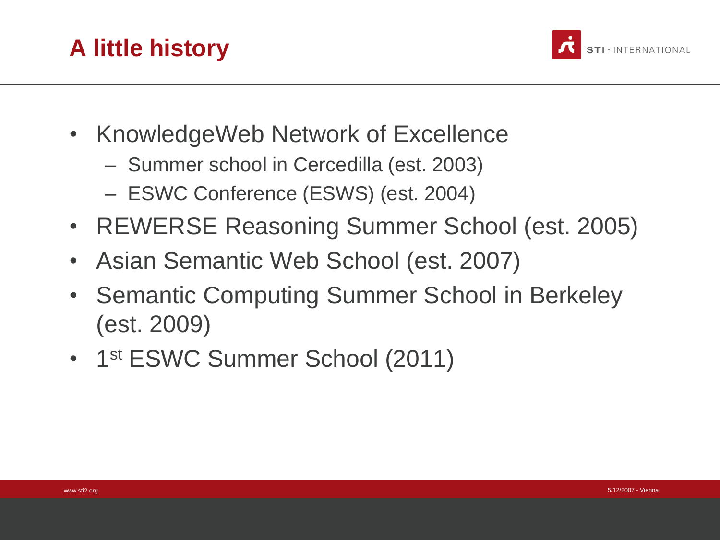



- KnowledgeWeb Network of Excellence
	- Summer school in Cercedilla (est. 2003)
	- ESWC Conference (ESWS) (est. 2004)
- REWERSE Reasoning Summer School (est. 2005)
- Asian Semantic Web School (est. 2007)
- Semantic Computing Summer School in Berkeley (est. 2009)
- 1st ESWC Summer School (2011)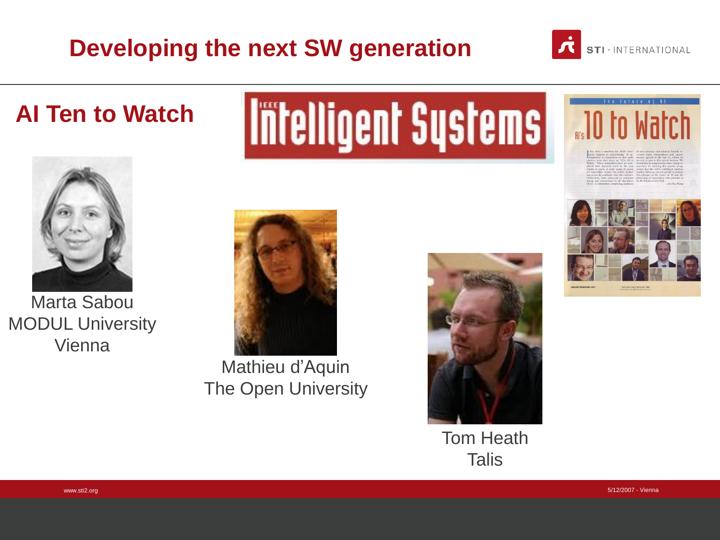#### **Developing the next SW generation**



**AI Ten to Watch** 



Marta Sabou MODUL University Vienna

# **Intelligent Systems**



Mathieu d'Aquin The Open University



Tom Heath **Talis** 



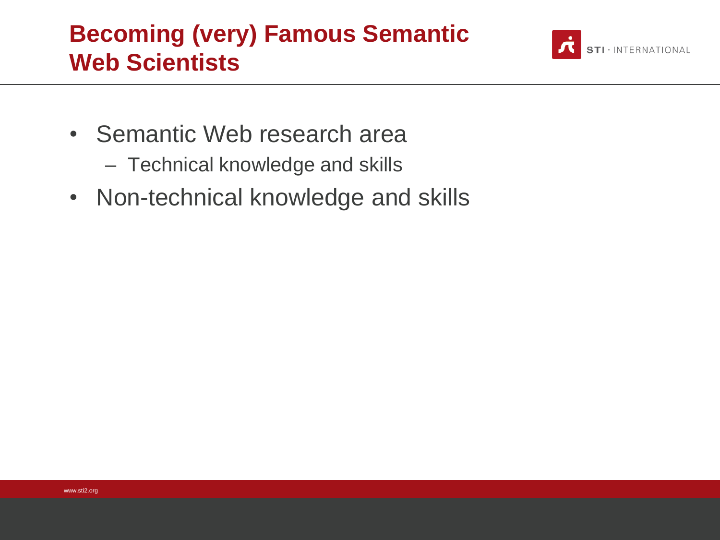#### **Becoming (very) Famous Semantic Web Scientists**



- Semantic Web research area
	- Technical knowledge and skills
- Non-technical knowledge and skills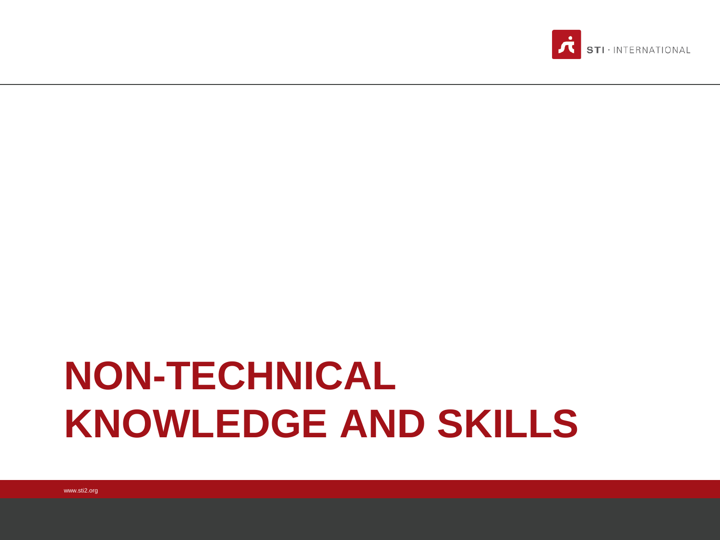### **NON-TECHNICAL KNOWLEDGE AND SKILLS**

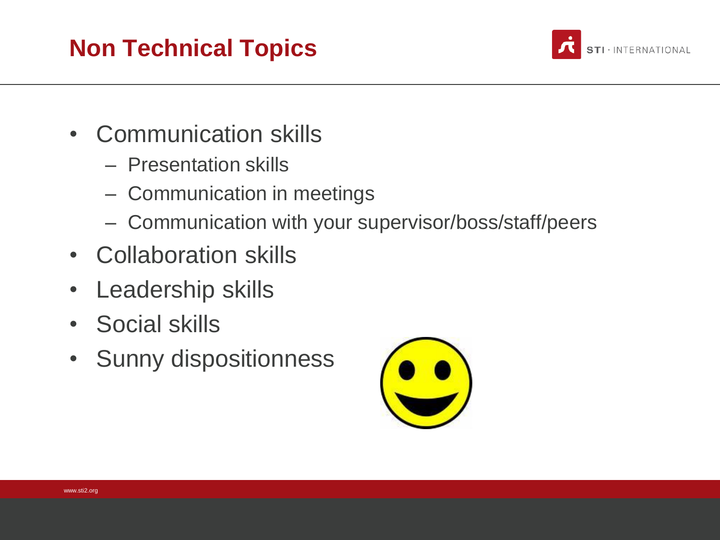#### **Non Technical Topics**



- Communication skills
	- Presentation skills
	- Communication in meetings
	- Communication with your supervisor/boss/staff/peers
- Collaboration skills
- Leadership skills
- Social skills
- Sunny dispositionness

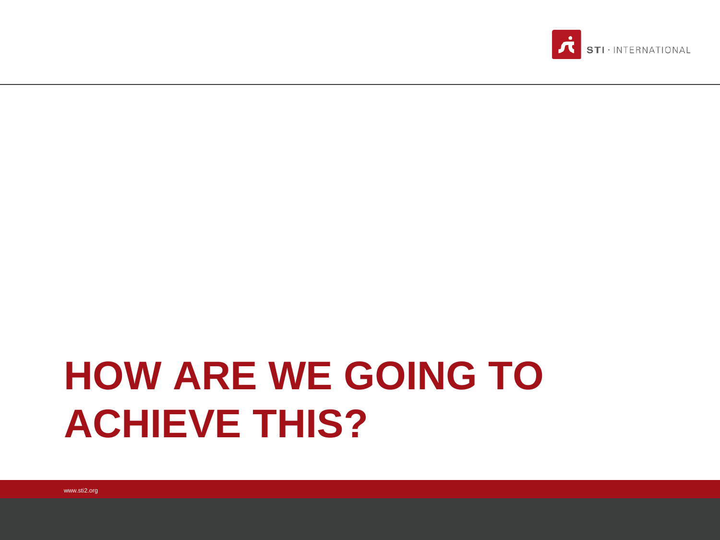### **HOW ARE WE GOING TO ACHIEVE THIS?**

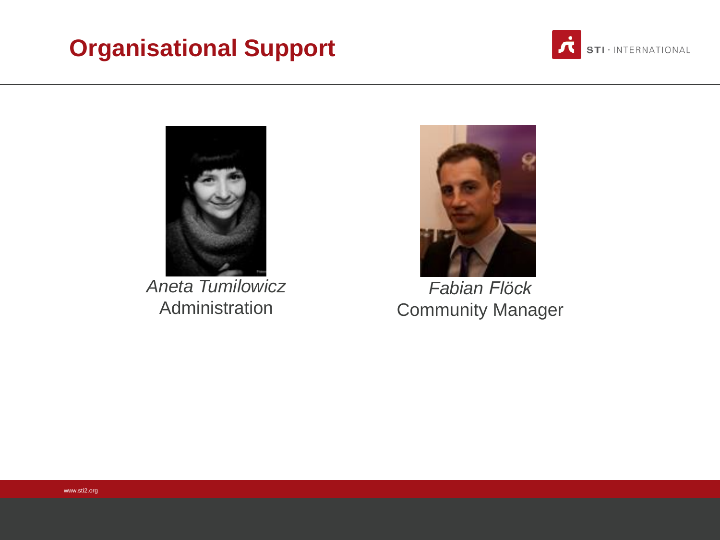#### **Organisational Support**





*Aneta Tumilowicz* Administration



*Fabian Flöck* Community Manager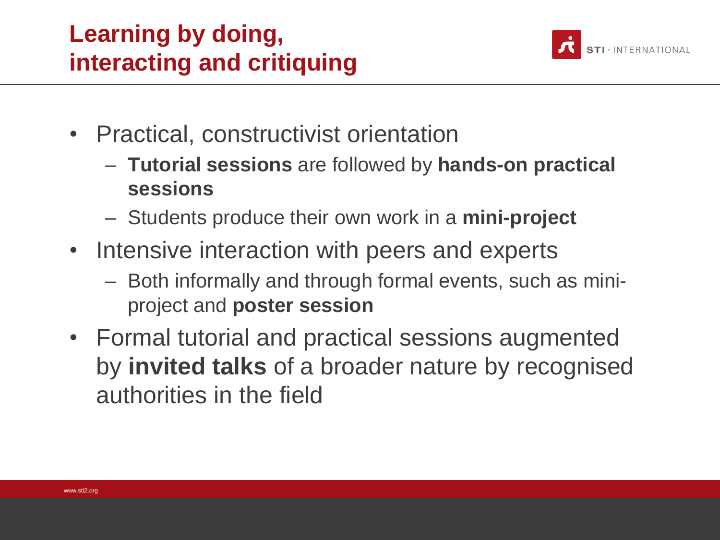#### **Learning by doing, interacting and critiquing**



- Practical, constructivist orientation
	- **Tutorial sessions** are followed by **hands-on practical sessions**
	- Students produce their own work in a **mini-project**
- Intensive interaction with peers and experts
	- Both informally and through formal events, such as miniproject and **poster session**
- Formal tutorial and practical sessions augmented by **invited talks** of a broader nature by recognised authorities in the field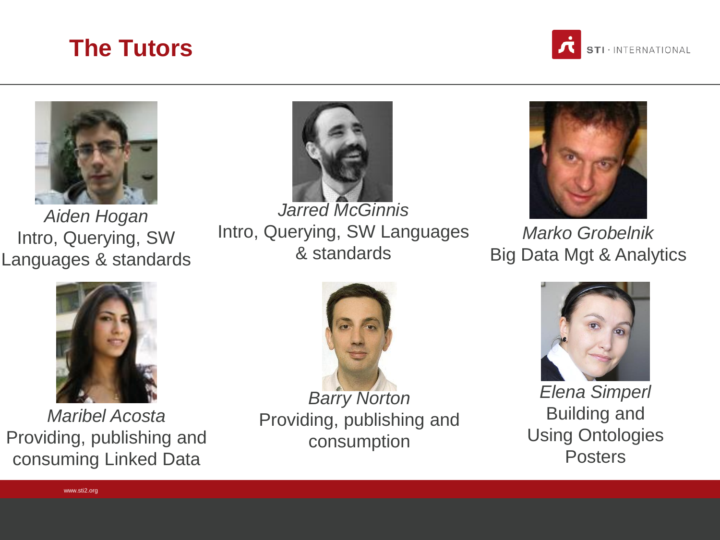





*Aiden Hogan* Intro, Querying, SW Languages & standards



Intro, Querying, SW Languages & standards



*Marko Grobelnik* Big Data Mgt & Analytics



*Maribel Acosta* Providing, publishing and consuming Linked Data



*Barry Norton* Providing, publishing and consumption



*Elena Simperl* Building and Using Ontologies **Posters**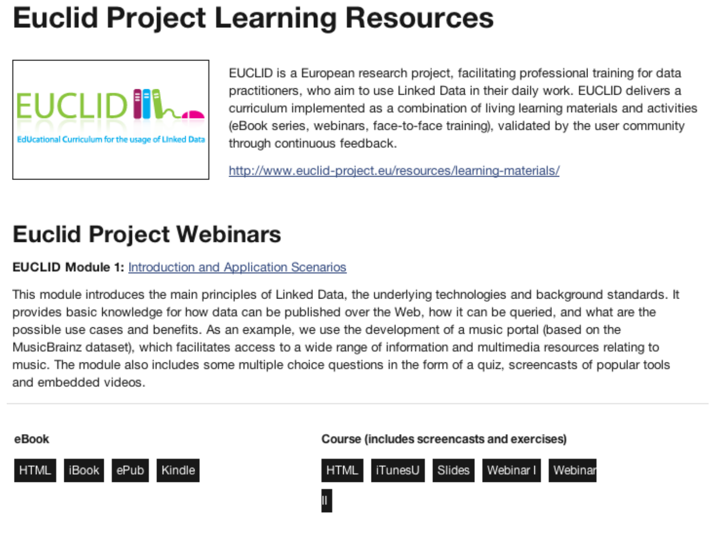### **Euclid Project Learning Resources**



EUCLID is a European research project, facilitating professional training for data practitioners, who aim to use Linked Data in their daily work. EUCLID delivers a curriculum implemented as a combination of living learning materials and activities (eBook series, webinars, face-to-face training), validated by the user community through continuous feedback.

http://www.euclid-project.eu/resources/learning-materials/

#### **Euclid Project Webinars**

**EUCLID Module 1: Introduction and Application Scenarios** 

This module introduces the main principles of Linked Data, the underlying technologies and background standards. It provides basic knowledge for how data can be published over the Web, how it can be queried, and what are the possible use cases and benefits. As an example, we use the development of a music portal (based on the MusicBrainz dataset), which facilitates access to a wide range of information and multimedia resources relating to music. The module also includes some multiple choice questions in the form of a quiz, screencasts of popular tools and embedded videos.



Course (includes screencasts and exercises)

iTunesU

Slides

Webinar I

Webinar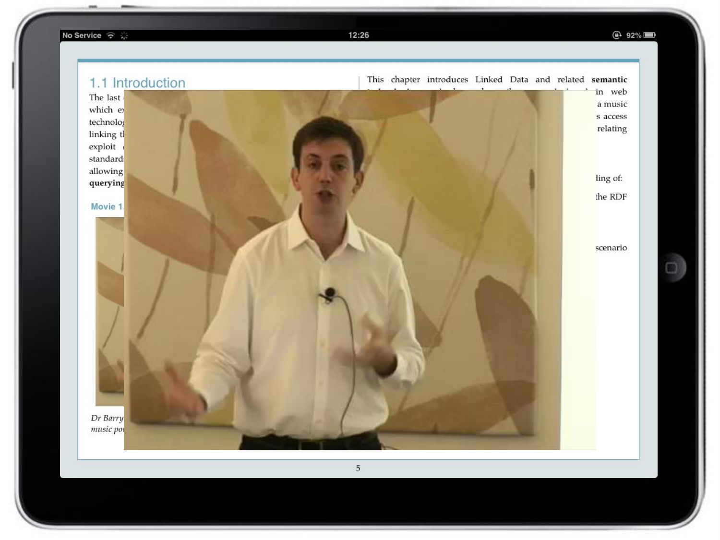No Service マ ※

12:26

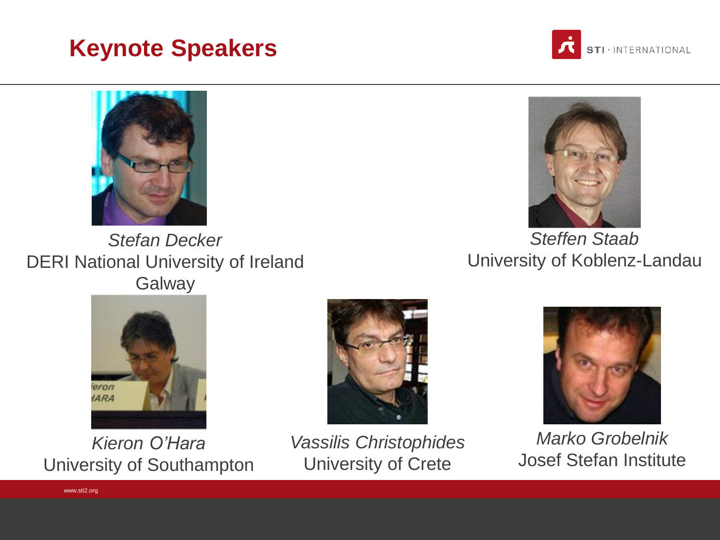#### **Keynote Speakers**





*Stefan Decker* DERI National University of Ireland **Galway** 



*Steffen Staab* University of Koblenz-Landau



*Kieron O'Hara* University of Southampton

www.sti2.org



*Vassilis Christophides* University of Crete



*Marko Grobelnik* Josef Stefan Institute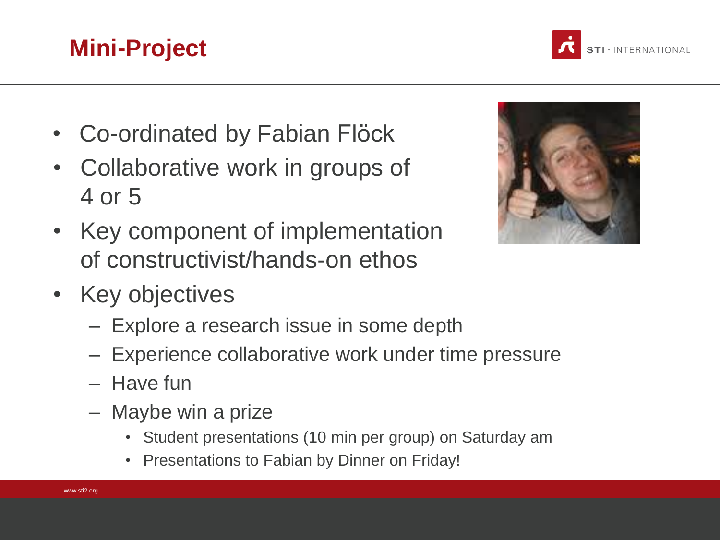- Co-ordinated by Fabian Flöck
- Collaborative work in groups of 4 or 5
- Key component of implementation of constructivist/hands-on ethos
- Key objectives
	- Explore a research issue in some depth
	- Experience collaborative work under time pressure
	- Have fun
	- Maybe win a prize
		- Student presentations (10 min per group) on Saturday am
		- Presentations to Fabian by Dinner on Friday!





#### **Mini-Project**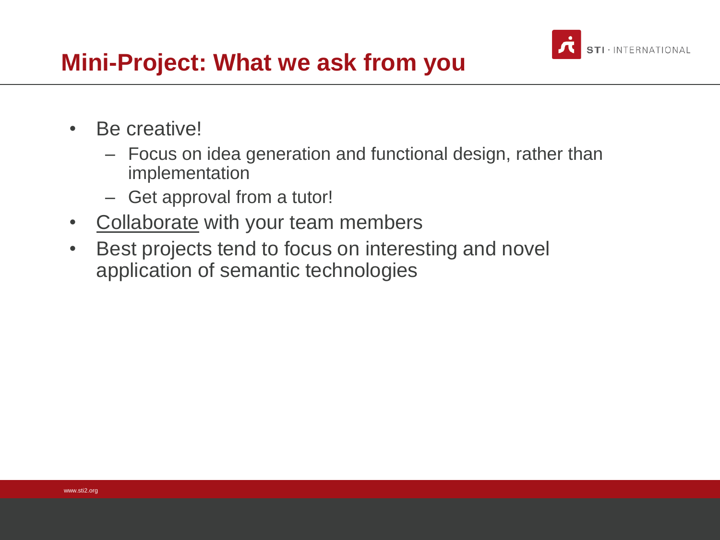

#### **Mini-Project: What we ask from you**

- Be creative!
	- Focus on idea generation and functional design, rather than implementation
	- Get approval from a tutor!
- Collaborate with your team members
- Best projects tend to focus on interesting and novel application of semantic technologies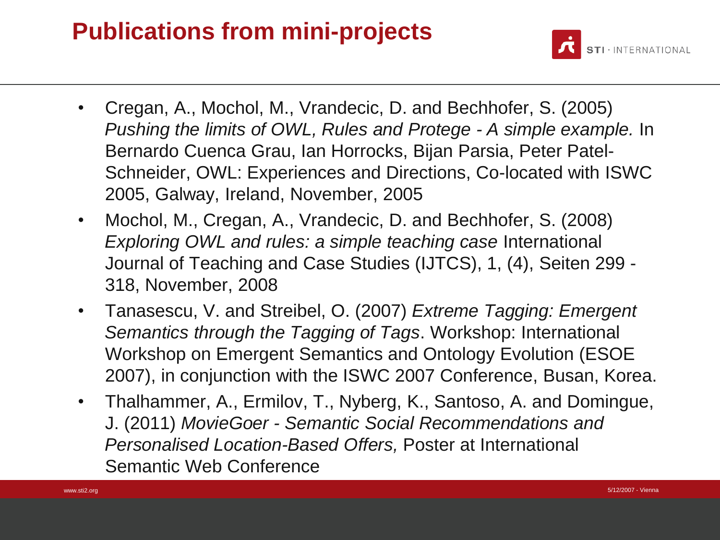#### **Publications from mini-projects**



- Cregan, A., Mochol, M., Vrandecic, D. and Bechhofer, S. (2005) *Pushing the limits of OWL, Rules and Protege - A simple example.* In Bernardo Cuenca Grau, Ian Horrocks, Bijan Parsia, Peter Patel-Schneider, OWL: Experiences and Directions, Co-located with ISWC 2005, Galway, Ireland, November, 2005
- Mochol, M., Cregan, A., Vrandecic, D. and Bechhofer, S. (2008) *Exploring OWL and rules: a simple teaching case International* Journal of Teaching and Case Studies (IJTCS), 1, (4), Seiten 299 - 318, November, 2008
- Tanasescu, V. and Streibel, O. (2007) *Extreme Tagging: Emergent Semantics through the Tagging of Tags*. Workshop: International Workshop on Emergent Semantics and Ontology Evolution (ESOE 2007), in conjunction with the ISWC 2007 Conference, Busan, Korea.
- Thalhammer, A., Ermilov, T., Nyberg, K., Santoso, A. and Domingue, J. (2011) *MovieGoer - Semantic Social Recommendations and Personalised Location-Based Offers,* Poster at International Semantic Web Conference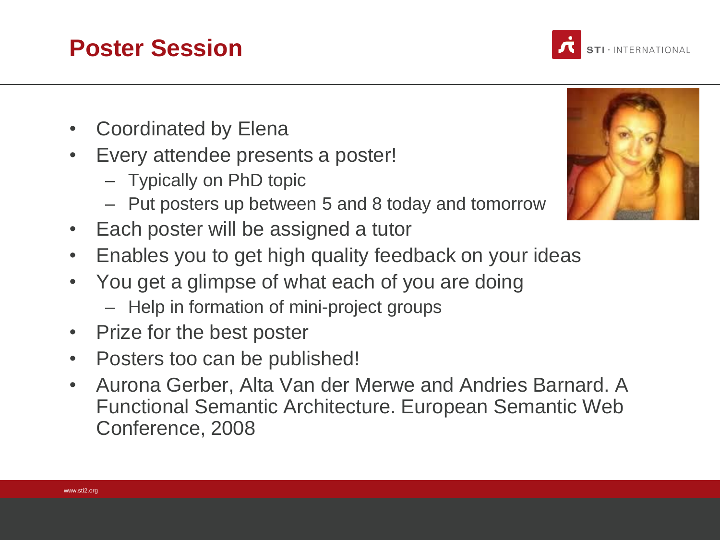#### **Poster Session**

- Coordinated by Elena
- Every attendee presents a poster!
	- Typically on PhD topic
	- Put posters up between 5 and 8 today and tomorrow
- Each poster will be assigned a tutor
- Enables you to get high quality feedback on your ideas
- You get a glimpse of what each of you are doing
	- Help in formation of mini-project groups
- Prize for the best poster
- Posters too can be published!
- Aurona Gerber, Alta Van der Merwe and Andries Barnard. A Functional Semantic Architecture. European Semantic Web Conference, 2008



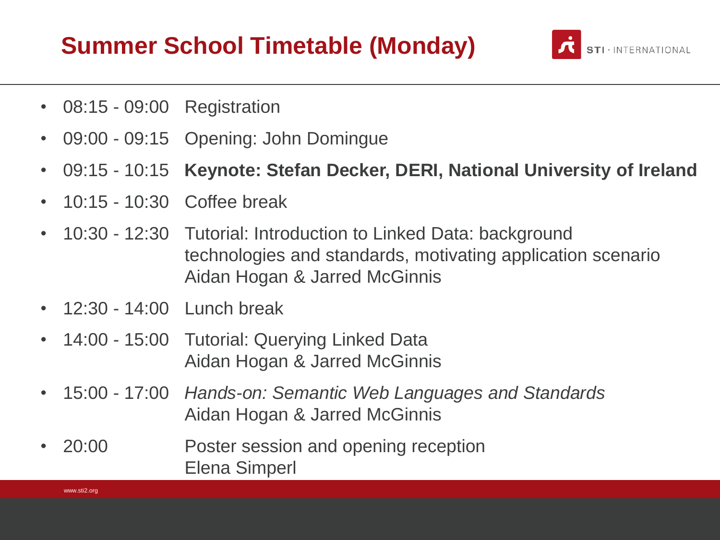#### **Summer School Timetable (Monday)**



- 08:15 09:00 Registration
- 09:00 09:15 Opening: John Domingue
- 09:15 10:15 **Keynote: Stefan Decker, DERI, National University of Ireland**
- 10:15 10:30 Coffee break
- 10:30 12:30 Tutorial: Introduction to Linked Data: background technologies and standards, motivating application scenario Aidan Hogan & Jarred McGinnis
- 12:30 14:00 Lunch break
- 14:00 15:00 Tutorial: Querying Linked Data Aidan Hogan & Jarred McGinnis
- 15:00 17:00 *Hands-on: Semantic Web Languages and Standards* Aidan Hogan & Jarred McGinnis
- 20:00 Poster session and opening reception Elena Simperl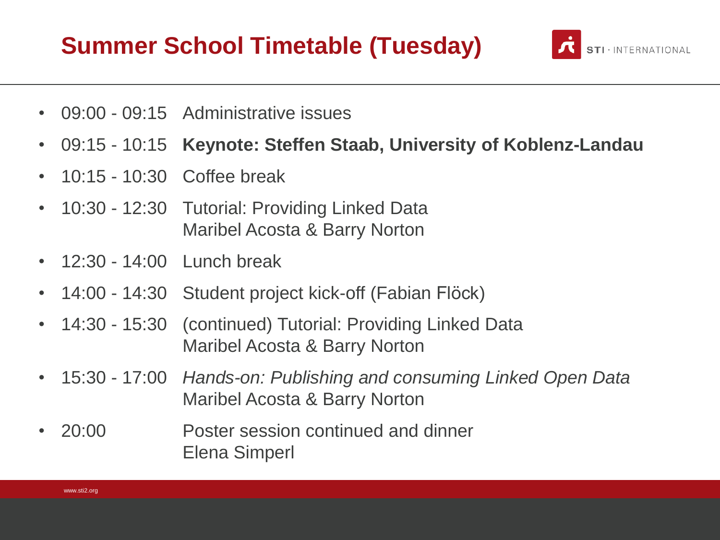#### **Summer School Timetable (Tuesday)**



- 09:00 09:15 Administrative issues
- 09:15 10:15 **Keynote: Steffen Staab, University of Koblenz-Landau**
- 10:15 10:30 Coffee break
- 10:30 12:30 Tutorial: Providing Linked Data Maribel Acosta & Barry Norton
- 12:30 14:00 Lunch break
- 14:00 14:30 Student project kick-off (Fabian Flöck)
- 14:30 15:30 (continued) Tutorial: Providing Linked Data Maribel Acosta & Barry Norton
- 15:30 17:00 *Hands-on: Publishing and consuming Linked Open Data* Maribel Acosta & Barry Norton
- 20:00 Poster session continued and dinner Elena Simperl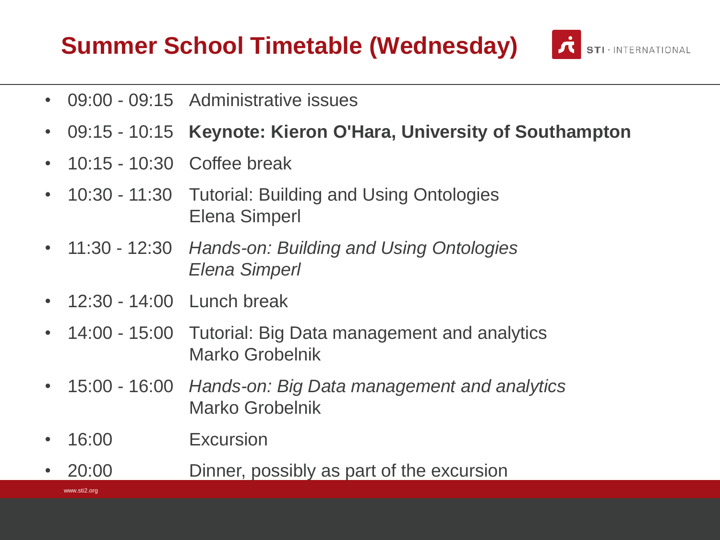#### **Summer School Timetable (Wednesday)**

- 09:00 09:15 Administrative issues
- 09:15 10:15 **Keynote: Kieron O'Hara, University of Southampton**

**STI** · INTERNATIONAL

- 10:15 10:30 Coffee break
- 10:30 11:30 Tutorial: Building and Using Ontologies Elena Simperl
- 11:30 12:30 *Hands-on: Building and Using Ontologies Elena Simperl*
- 12:30 14:00 Lunch break
- 14:00 15:00 Tutorial: Big Data management and analytics Marko Grobelnik
- 15:00 16:00 *Hands-on: Big Data management and analytics* Marko Grobelnik
- 16:00 Excursion
- www.sti2.org • 20:00 Dinner, possibly as part of the excursion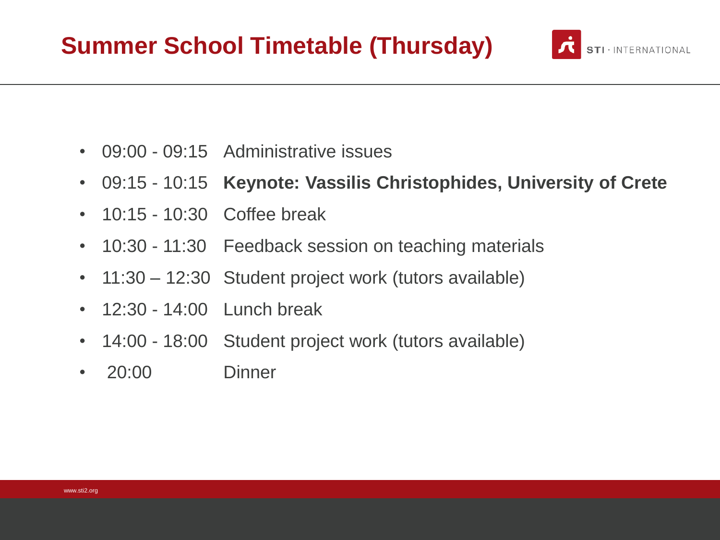#### **Summer School Timetable (Thursday)**

- 09:00 09:15 Administrative issues
- 09:15 10:15 **Keynote: Vassilis Christophides, University of Crete**
- 10:15 10:30 Coffee break
- 10:30 11:30 Feedback session on teaching materials
- 11:30 12:30 Student project work (tutors available)
- 12:30 14:00 Lunch break
- 14:00 18:00 Student project work (tutors available)
- 20:00 Dinner

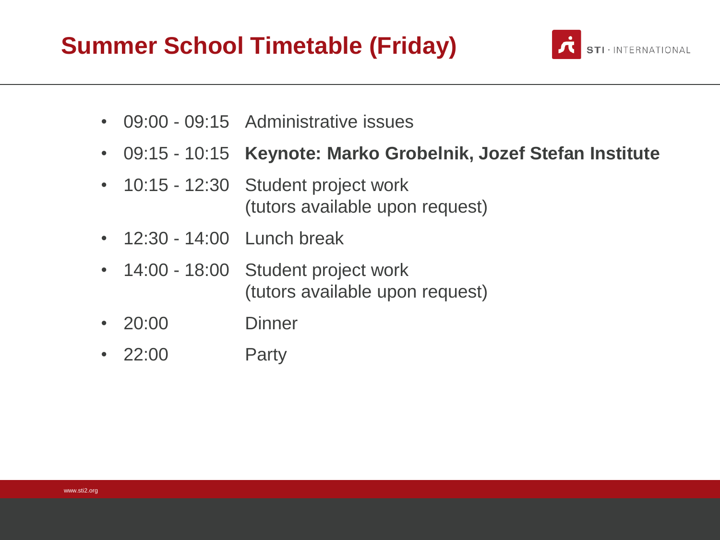#### **Summer School Timetable (Friday)**

- 09:00 09:15 Administrative issues
- 09:15 10:15 **Keynote: Marko Grobelnik, Jozef Stefan Institute**
- 10:15 12:30 Student project work (tutors available upon request)
- 12:30 14:00 Lunch break
- 14:00 18:00 Student project work (tutors available upon request)
- 20:00 Dinner
- 22:00 Party

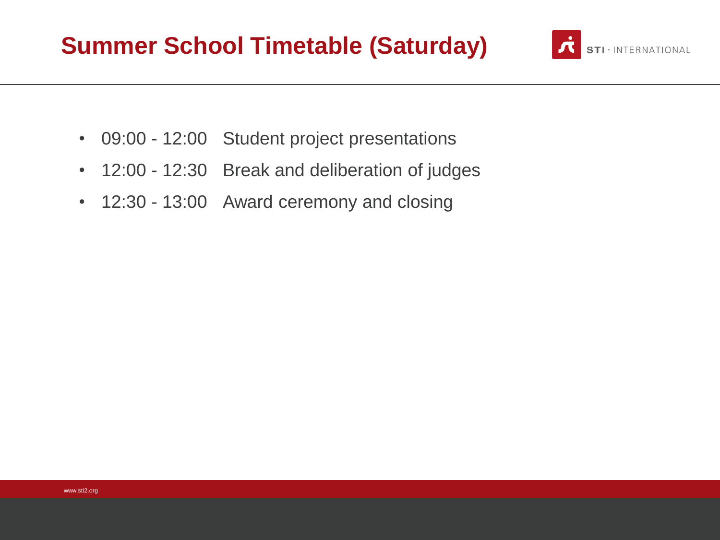#### **Summer School Timetable (Saturday)**



- 09:00 12:00 Student project presentations
- 12:00 12:30 Break and deliberation of judges
- 12:30 13:00 Award ceremony and closing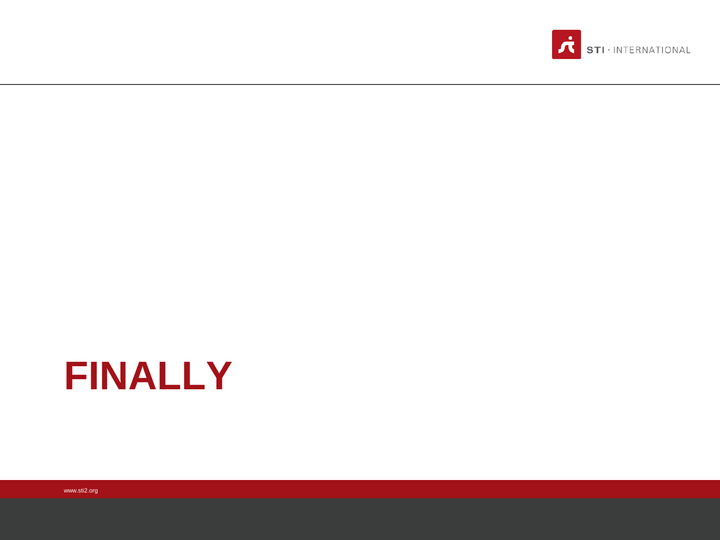

## **FINALLY**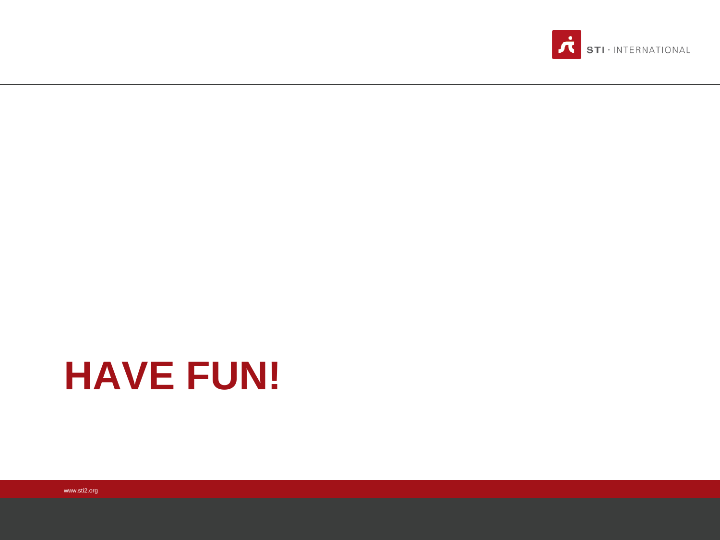

### **HAVE FUN!**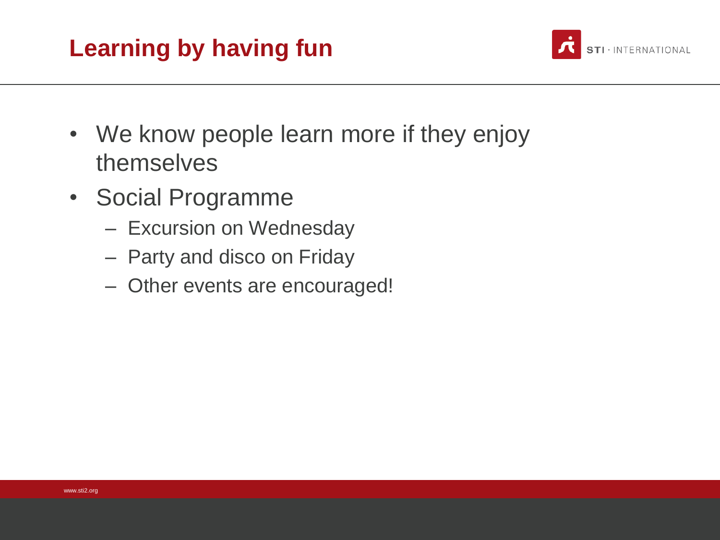#### **Learning by having fun**

- We know people learn more if they enjoy themselves
- Social Programme
	- Excursion on Wednesday
	- Party and disco on Friday
	- Other events are encouraged!

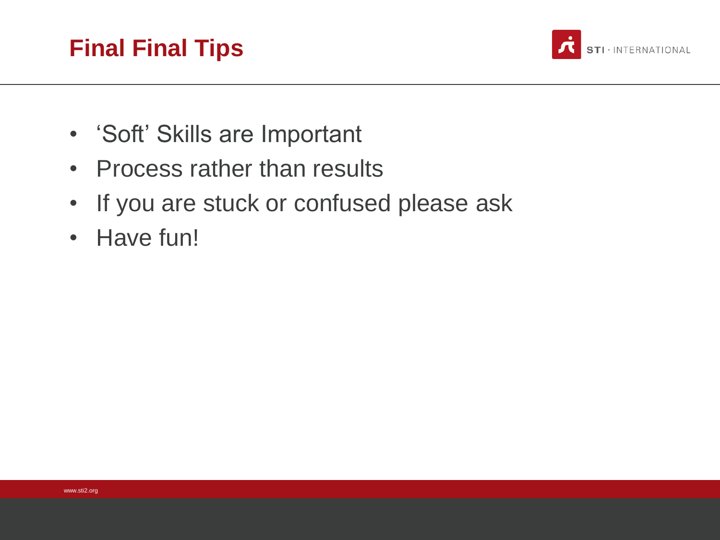#### **Final Final Tips**



- 'Soft' Skills are Important
- Process rather than results
- If you are stuck or confused please ask
- Have fun!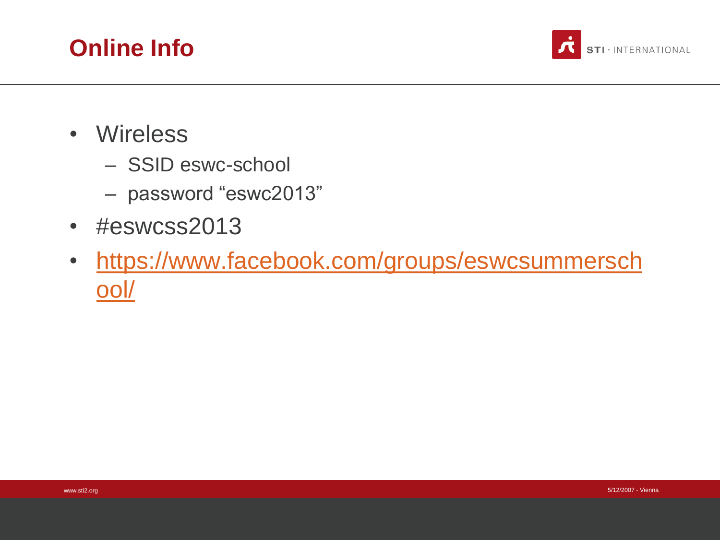



- Wireless
	- SSID eswc-school
	- password "eswc2013"
- #eswcss2013
- [https://www.facebook.com/groups/eswcsummersch](https://www.facebook.com/groups/eswcsummerschool/) ool/